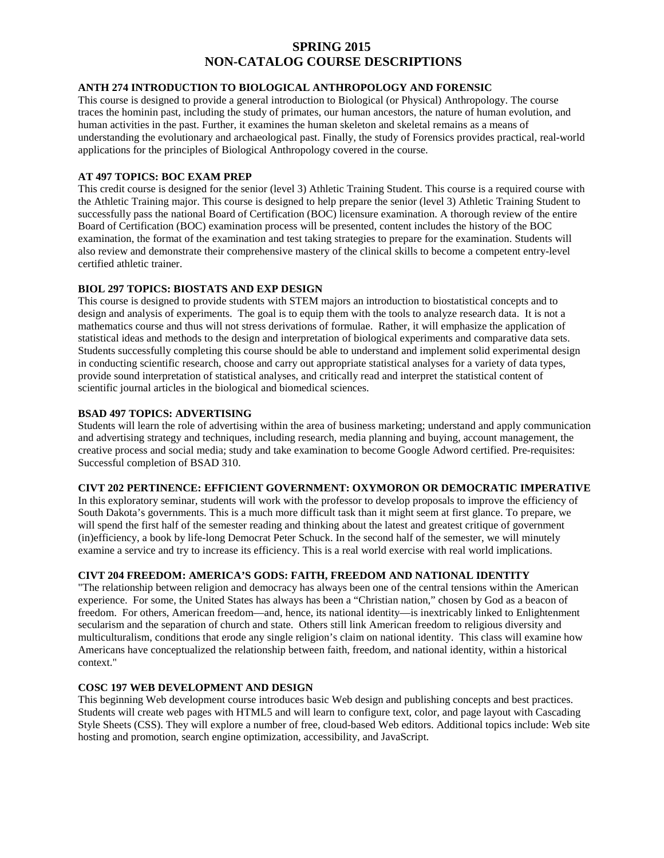# **SPRING 2015 NON-CATALOG COURSE DESCRIPTIONS**

## **ANTH 274 INTRODUCTION TO BIOLOGICAL ANTHROPOLOGY AND FORENSIC**

This course is designed to provide a general introduction to Biological (or Physical) Anthropology. The course traces the hominin past, including the study of primates, our human ancestors, the nature of human evolution, and human activities in the past. Further, it examines the human skeleton and skeletal remains as a means of understanding the evolutionary and archaeological past. Finally, the study of Forensics provides practical, real-world applications for the principles of Biological Anthropology covered in the course.

## **AT 497 TOPICS: BOC EXAM PREP**

This credit course is designed for the senior (level 3) Athletic Training Student. This course is a required course with the Athletic Training major. This course is designed to help prepare the senior (level 3) Athletic Training Student to successfully pass the national Board of Certification (BOC) licensure examination. A thorough review of the entire Board of Certification (BOC) examination process will be presented, content includes the history of the BOC examination, the format of the examination and test taking strategies to prepare for the examination. Students will also review and demonstrate their comprehensive mastery of the clinical skills to become a competent entry-level certified athletic trainer.

# **BIOL 297 TOPICS: BIOSTATS AND EXP DESIGN**

This course is designed to provide students with STEM majors an introduction to biostatistical concepts and to design and analysis of experiments. The goal is to equip them with the tools to analyze research data. It is not a mathematics course and thus will not stress derivations of formulae. Rather, it will emphasize the application of statistical ideas and methods to the design and interpretation of biological experiments and comparative data sets. Students successfully completing this course should be able to understand and implement solid experimental design in conducting scientific research, choose and carry out appropriate statistical analyses for a variety of data types, provide sound interpretation of statistical analyses, and critically read and interpret the statistical content of scientific journal articles in the biological and biomedical sciences.

# **BSAD 497 TOPICS: ADVERTISING**

Students will learn the role of advertising within the area of business marketing; understand and apply communication and advertising strategy and techniques, including research, media planning and buying, account management, the creative process and social media; study and take examination to become Google Adword certified. Pre-requisites: Successful completion of BSAD 310.

# **CIVT 202 PERTINENCE: EFFICIENT GOVERNMENT: OXYMORON OR DEMOCRATIC IMPERATIVE**

In this exploratory seminar, students will work with the professor to develop proposals to improve the efficiency of South Dakota's governments. This is a much more difficult task than it might seem at first glance. To prepare, we will spend the first half of the semester reading and thinking about the latest and greatest critique of government (in)efficiency, a book by life-long Democrat Peter Schuck. In the second half of the semester, we will minutely examine a service and try to increase its efficiency. This is a real world exercise with real world implications.

# **CIVT 204 FREEDOM: AMERICA'S GODS: FAITH, FREEDOM AND NATIONAL IDENTITY**

"The relationship between religion and democracy has always been one of the central tensions within the American experience. For some, the United States has always has been a "Christian nation," chosen by God as a beacon of freedom. For others, American freedom—and, hence, its national identity—is inextricably linked to Enlightenment secularism and the separation of church and state. Others still link American freedom to religious diversity and multiculturalism, conditions that erode any single religion's claim on national identity. This class will examine how Americans have conceptualized the relationship between faith, freedom, and national identity, within a historical context."

## **COSC 197 WEB DEVELOPMENT AND DESIGN**

This beginning Web development course introduces basic Web design and publishing concepts and best practices. Students will create web pages with HTML5 and will learn to configure text, color, and page layout with Cascading Style Sheets (CSS). They will explore a number of free, cloud-based Web editors. Additional topics include: Web site hosting and promotion, search engine optimization, accessibility, and JavaScript.